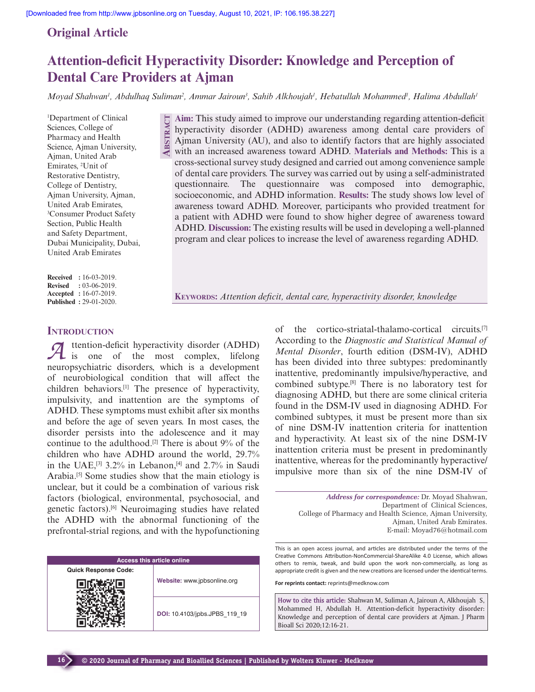**A**BSTRA

# **Original Article**

# **Attention-deficit Hyperactivity Disorder: Knowledge and Perception of Dental Care Providers at Ajman**

*Moyad Shahwan<sup>1</sup> , Abdulhaq Suliman<sup>2</sup> , Ammar Jairoun<sup>3</sup> , Sahib Alkhoujah<sup>1</sup> , Hebatullah Mohammed<sup>1</sup> , Halima Abdullah<sup>1</sup>*

<sup>1</sup>Department of Clinical Sciences, College of Pharmacy and Health Science, Ajman University, Ajman, United Arab Emirates, <sup>2</sup>Unit of Restorative Dentistry, College of Dentistry, Ajman University, Ajman, United Arab Emirates, <sup>3</sup>Consumer Product Safety Section, Public Health and Safety Department, Dubai Municipality, Dubai, United Arab Emirates

**Received :** 16-03-2019. **Revised :** 03-06-2019. **Accepted :** 16-07-2019. **Published :** 29-01-2020.

**INTRODUCTION**

**16**

*A* ttention-deficit hyperactivity disorder (ADHD) is one of the most complex, lifelong neuropsychiatric disorders, which is a development of neurobiological condition that will affect the children behaviors.[1] The presence of hyperactivity, impulsivity, and inattention are the symptoms of ADHD. These symptoms must exhibit after six months and before the age of seven years. In most cases, the disorder persists into the adolescence and it may continue to the adulthood.<sup>[2]</sup> There is about  $9\%$  of the children who have ADHD around the world, 29.7% in the UAE,<sup>[3]</sup> 3.2% in Lebanon,<sup>[4]</sup> and 2.7% in Saudi Arabia.[5] Some studies show that the main etiology is unclear, but it could be a combination of various risk factors (biological, environmental, psychosocial, and genetic factors).[6] Neuroimaging studies have related the ADHD with the abnormal functioning of the prefrontal-strial regions, and with the hypofunctioning

| <b>Access this article online</b> |                               |  |  |  |
|-----------------------------------|-------------------------------|--|--|--|
| <b>Quick Response Code:</b>       |                               |  |  |  |
|                                   | Website: www.jpbsonline.org   |  |  |  |
|                                   | DOI: 10.4103/jpbs.JPBS 119 19 |  |  |  |

**Aim:** This study aimed to improve our understanding regarding attention-deficit hyperactivity disorder (ADHD) awareness among dental care providers of Ajman University (AU), and also to identify factors that are highly associated with an increased awareness toward ADHD. **Materials and Methods:** This is a cross-sectional survey study designed and carried out among convenience sample of dental care providers. The survey was carried out by using a self-administrated questionnaire. The questionnaire was composed into demographic, socioeconomic, and ADHD information. **Results:** The study shows low level of awareness toward ADHD. Moreover, participants who provided treatment for a patient with ADHD were found to show higher degree of awareness toward ADHD. **Discussion:** The existing results will be used in developing a well-planned program and clear polices to increase the level of awareness regarding ADHD.

**KEYWORDS:** *Attention deficit, dental care, hyperactivity disorder, knowledge*

of the cortico-striatal-thalamo-cortical circuits.[7] According to the *Diagnostic and Statistical Manual of Mental Disorder*, fourth edition (DSM-IV), ADHD has been divided into three subtypes: predominantly inattentive, predominantly impulsive/hyperactive, and combined subtype.[8] There is no laboratory test for diagnosing ADHD, but there are some clinical criteria found in the DSM-IV used in diagnosing ADHD. For combined subtypes, it must be present more than six of nine DSM-IV inattention criteria for inattention and hyperactivity. At least six of the nine DSM-IV inattention criteria must be present in predominantly inattentive, whereas for the predominantly hyperactive/ impulsive more than six of the nine DSM-IV of

> *Address for correspondence:* Dr. Moyad Shahwan, Department of Clinical Sciences, College of Pharmacy and Health Science, Ajman University, Ajman, United Arab Emirates. E-mail: Moyad76@hotmail.com

This is an open access journal, and articles are distributed under the terms of the Creative Commons Attribution-NonCommercial-ShareAlike 4.0 License, which allows others to remix, tweak, and build upon the work non-commercially, as long as appropriate credit is given and the new creations are licensed under the identical terms.

**For reprints contact:** reprints@medknow.com

**How to cite this article:** Shahwan M, Suliman A, Jairoun A, Alkhoujah S, Mohammed H, Abdullah H. Attention-deficit hyperactivity disorder: Knowledge and perception of dental care providers at Ajman. J Pharm Bioall Sci 2020;12:16-21.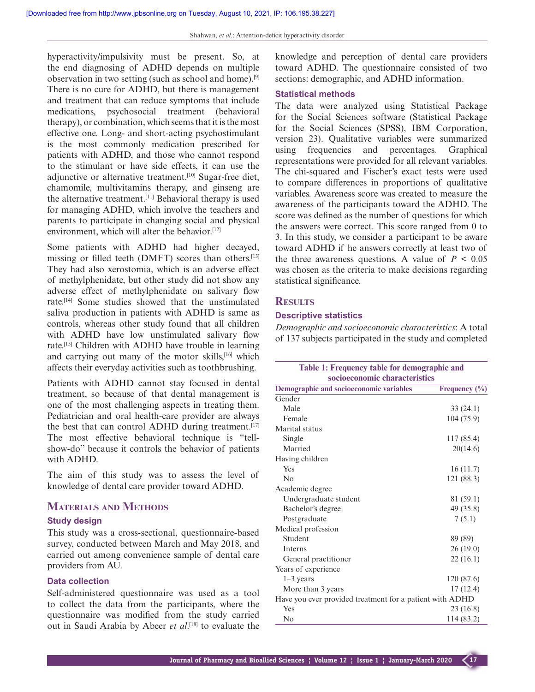hyperactivity/impulsivity must be present. So, at the end diagnosing of ADHD depends on multiple observation in two setting (such as school and home).[9] There is no cure for ADHD, but there is management and treatment that can reduce symptoms that include medications, psychosocial treatment (behavioral therapy), or combination, which seems that it is the most effective one. Long- and short-acting psychostimulant is the most commonly medication prescribed for patients with ADHD, and those who cannot respond to the stimulant or have side effects, it can use the adjunctive or alternative treatment.[10] Sugar-free diet, chamomile, multivitamins therapy, and ginseng are the alternative treatment.[11] Behavioral therapy is used for managing ADHD, which involve the teachers and parents to participate in changing social and physical environment, which will alter the behavior.<sup>[12]</sup>

Some patients with ADHD had higher decayed, missing or filled teeth (DMFT) scores than others.<sup>[13]</sup> They had also xerostomia, which is an adverse effect of methylphenidate, but other study did not show any adverse effect of methylphenidate on salivary flow rate.[14] Some studies showed that the unstimulated saliva production in patients with ADHD is same as controls, whereas other study found that all children with ADHD have low unstimulated salivary flow rate.[15] Children with ADHD have trouble in learning and carrying out many of the motor skills,[16] which affects their everyday activities such as toothbrushing.

Patients with ADHD cannot stay focused in dental treatment, so because of that dental management is one of the most challenging aspects in treating them. Pediatrician and oral health-care provider are always the best that can control ADHD during treatment.<sup>[17]</sup> The most effective behavioral technique is "tellshow-do" because it controls the behavior of patients with ADHD.

The aim of this study was to assess the level of knowledge of dental care provider toward ADHD.

#### **MATERIALS AND METHODS**

#### **Study design**

This study was a cross-sectional, questionnaire-based survey, conducted between March and May 2018, and carried out among convenience sample of dental care providers from AU.

#### **Data collection**

Self-administered questionnaire was used as a tool to collect the data from the participants, where the questionnaire was modified from the study carried out in Saudi Arabia by Abeer *et al*. [18] to evaluate the knowledge and perception of dental care providers toward ADHD. The questionnaire consisted of two sections: demographic, and ADHD information.

#### **Statistical methods**

The data were analyzed using Statistical Package for the Social Sciences software (Statistical Package for the Social Sciences (SPSS), IBM Corporation, version 23). Qualitative variables were summarized using frequencies and percentages. Graphical representations were provided for all relevant variables. The chi-squared and Fischer's exact tests were used to compare differences in proportions of qualitative variables. Awareness score was created to measure the awareness of the participants toward the ADHD. The score was defined as the number of questions for which the answers were correct. This score ranged from 0 to 3. In this study, we consider a participant to be aware toward ADHD if he answers correctly at least two of the three awareness questions. A value of  $P < 0.05$ was chosen as the criteria to make decisions regarding statistical significance.

# **RESULTS**

#### **Descriptive statistics**

*Demographic and socioeconomic characteristics*: A total of 137 subjects participated in the study and completed

| Table 1: Frequency table for demographic and                             |               |  |
|--------------------------------------------------------------------------|---------------|--|
| socioeconomic characteristics<br>Demographic and socioeconomic variables | Frequency (%) |  |
| Gender                                                                   |               |  |
| Male                                                                     | 33(24.1)      |  |
| Female                                                                   | 104 (75.9)    |  |
| Marital status                                                           |               |  |
| Single                                                                   | 117 (85.4)    |  |
| Married                                                                  | 20(14.6)      |  |
| Having children                                                          |               |  |
| Yes                                                                      | 16(11.7)      |  |
| No                                                                       | 121 (88.3)    |  |
| Academic degree                                                          |               |  |
| Undergraduate student                                                    | 81 (59.1)     |  |
| Bachelor's degree                                                        | 49 (35.8)     |  |
| Postgraduate                                                             | 7(5.1)        |  |
| Medical profession                                                       |               |  |
| Student                                                                  | 89 (89)       |  |
| <b>Interns</b>                                                           | 26(19.0)      |  |
| General practitioner                                                     | 22 (16.1)     |  |
| Years of experience                                                      |               |  |
| $1-3$ years                                                              | 120 (87.6)    |  |
| More than 3 years                                                        | 17(12.4)      |  |
| Have you ever provided treatment for a patient with ADHD                 |               |  |
| Yes                                                                      | 23(16.8)      |  |
| No                                                                       | 114 (83.2)    |  |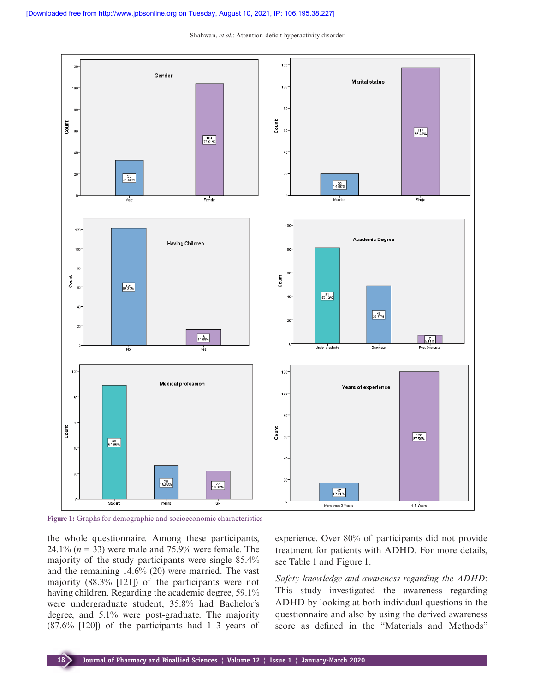Shahwan, *et al.*: Attention-deficit hyperactivity disorder



**Figure 1:** Graphs for demographic and socioeconomic characteristics

the whole questionnaire. Among these participants, 24.1% (*n* = 33) were male and 75.9% were female. The majority of the study participants were single 85.4% and the remaining 14.6% (20) were married. The vast majority (88.3% [121]) of the participants were not having children. Regarding the academic degree, 59.1% were undergraduate student, 35.8% had Bachelor's degree, and 5.1% were post-graduate. The majority  $(87.6\%$  [120]) of the participants had 1–3 years of experience. Over 80% of participants did not provide treatment for patients with ADHD. For more details, see Table 1 and Figure 1.

*Safety knowledge and awareness regarding the ADHD*: This study investigated the awareness regarding ADHD by looking at both individual questions in the questionnaire and also by using the derived awareness score as defined in the "Materials and Methods"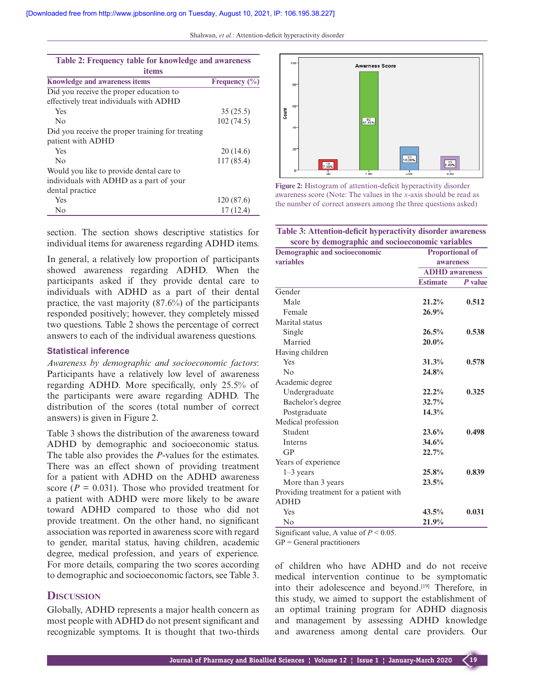| Table 2: Frequency table for knowledge and awareness |                   |  |  |  |
|------------------------------------------------------|-------------------|--|--|--|
| items                                                |                   |  |  |  |
| <b>Knowledge and awareness items</b>                 | Frequency $(\% )$ |  |  |  |
| Did you receive the proper education to              |                   |  |  |  |
| effectively treat individuals with ADHD              |                   |  |  |  |
| <b>Yes</b>                                           | 35(25.5)          |  |  |  |
| $\overline{N}_{0}$                                   | 102(74.5)         |  |  |  |
| Did you receive the proper training for treating     |                   |  |  |  |
| patient with ADHD                                    |                   |  |  |  |
| Yes                                                  | 20(14.6)          |  |  |  |
| No                                                   | 117(85.4)         |  |  |  |
| Would you like to provide dental care to             |                   |  |  |  |
| individuals with ADHD as a part of your              |                   |  |  |  |
| dental practice                                      |                   |  |  |  |
| Yes                                                  | 120 (87.6)        |  |  |  |
| No                                                   | 17(12.4)          |  |  |  |

section. The section shows descriptive statistics for individual items for awareness regarding ADHD items.

In general, a relatively low proportion of participants showed awareness regarding ADHD. When the participants asked if they provide dental care to individuals with ADHD as a part of their dental practice, the vast majority (87.6%) of the participants responded positively; however, they completely missed two questions. Table 2 shows the percentage of correct answers to each of the individual awareness questions.

#### **Statistical inference**

*Awareness by demographic and socioeconomic factors*: Participants have a relatively low level of awareness regarding ADHD. More specifically, only 25.5% of the participants were aware regarding ADHD. The distribution of the scores (total number of correct answers) is given in Figure 2.

Table 3 shows the distribution of the awareness toward ADHD by demographic and socioeconomic status. The table also provides the *P*-values for the estimates. There was an effect shown of providing treatment for a patient with ADHD on the ADHD awareness score ( $P = 0.031$ ). Those who provided treatment for a patient with ADHD were more likely to be aware toward ADHD compared to those who did not provide treatment. On the other hand, no significant association was reported in awareness score with regard to gender, marital status, having children, academic degree, medical profession, and years of experience. For more details, comparing the two scores according to demographic and socioeconomic factors, see Table 3.

## **DISCUSSION**

Globally, ADHD represents a major health concern as most people with ADHD do not present significant and recognizable symptoms. It is thought that two-thirds



**Figure 2:** Histogram of attention-deficit hyperactivity disorder awareness score (Note: The values in the *x*-axis should be read as the number of correct answers among the three questions asked)

| Table 3: Attention-deficit hyperactivity disorder awareness |  |  |
|-------------------------------------------------------------|--|--|
| score by demographic and socioeconomic variables            |  |  |

| <b>Demographic and socioeconomic</b>   | $\circ$<br><b>Proportional of</b>         |         |
|----------------------------------------|-------------------------------------------|---------|
| variables                              | <b>awareness</b><br><b>ADHD</b> awareness |         |
|                                        |                                           |         |
|                                        | <b>Estimate</b>                           | P value |
| Gender                                 |                                           |         |
| Male                                   | 21.2%                                     | 0.512   |
| Female                                 | 26.9%                                     |         |
| Marital status                         |                                           |         |
| Single                                 | 26.5%                                     | 0.538   |
| Married                                | 20.0%                                     |         |
| Having children                        |                                           |         |
| Yes                                    | 31.3%                                     | 0.578   |
| No                                     | 24.8%                                     |         |
| Academic degree                        |                                           |         |
| Undergraduate                          | 22.2%                                     | 0.325   |
| Bachelor's degree                      | 32.7%                                     |         |
| Postgraduate                           | 14.3%                                     |         |
| Medical profession                     |                                           |         |
| Student                                | 23.6%                                     | 0.498   |
| <b>Interns</b>                         | 34.6%                                     |         |
| GP                                     | 22.7%                                     |         |
| Years of experience                    |                                           |         |
| $1-3$ years                            | 25.8%                                     | 0.839   |
| More than 3 years                      | 23.5%                                     |         |
| Providing treatment for a patient with |                                           |         |
| <b>ADHD</b>                            |                                           |         |
| Yes                                    | 43.5%                                     | 0.031   |
| No                                     | 21.9%                                     |         |

Significant value, A value of *P* < 0.05.

 $GP = General$  practitioners

of children who have ADHD and do not receive medical intervention continue to be symptomatic into their adolescence and beyond.<sup>[19]</sup> Therefore, in this study, we aimed to support the establishment of an optimal training program for ADHD diagnosis and management by assessing ADHD knowledge and awareness among dental care providers. Our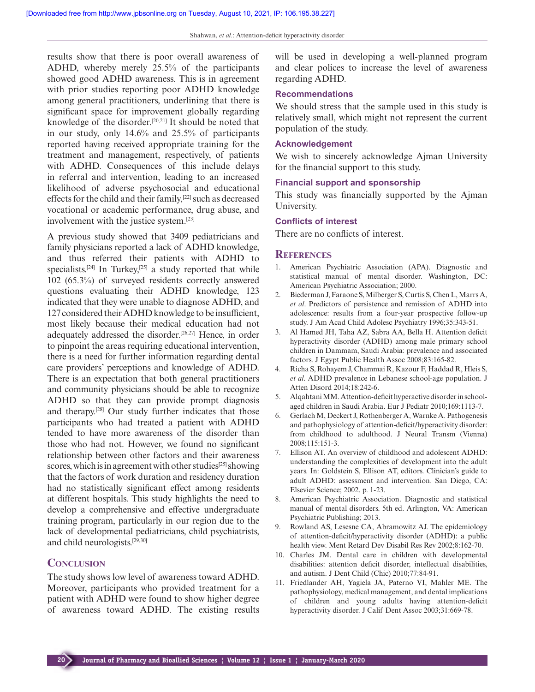results show that there is poor overall awareness of ADHD, whereby merely 25.5% of the participants showed good ADHD awareness. This is in agreement with prior studies reporting poor ADHD knowledge among general practitioners, underlining that there is significant space for improvement globally regarding knowledge of the disorder.<sup>[20,21]</sup> It should be noted that in our study, only 14.6% and 25.5% of participants reported having received appropriate training for the treatment and management, respectively, of patients with ADHD. Consequences of this include delays in referral and intervention, leading to an increased likelihood of adverse psychosocial and educational effects for the child and their family,[22] such as decreased vocational or academic performance, drug abuse, and involvement with the justice system.[23]

A previous study showed that 3409 pediatricians and family physicians reported a lack of ADHD knowledge, and thus referred their patients with ADHD to specialists.<sup>[24]</sup> In Turkey,<sup>[25]</sup> a study reported that while 102 (65.3%) of surveyed residents correctly answered questions evaluating their ADHD knowledge, 123 indicated that they were unable to diagnose ADHD, and 127 considered their ADHD knowledge to be insufficient, most likely because their medical education had not adequately addressed the disorder.[26,27] Hence, in order to pinpoint the areas requiring educational intervention, there is a need for further information regarding dental care providers' perceptions and knowledge of ADHD. There is an expectation that both general practitioners and community physicians should be able to recognize ADHD so that they can provide prompt diagnosis and therapy.[28] Our study further indicates that those participants who had treated a patient with ADHD tended to have more awareness of the disorder than those who had not. However, we found no significant relationship between other factors and their awareness scores, which is in agreement with other studies<sup>[25]</sup> showing that the factors of work duration and residency duration had no statistically significant effect among residents at different hospitals. This study highlights the need to develop a comprehensive and effective undergraduate training program, particularly in our region due to the lack of developmental pediatricians, child psychiatrists, and child neurologists.[29,30]

## **CONCLUSION**

The study shows low level of awareness toward ADHD. Moreover, participants who provided treatment for a patient with ADHD were found to show higher degree of awareness toward ADHD. The existing results will be used in developing a well-planned program and clear polices to increase the level of awareness regarding ADHD.

#### **Recommendations**

We should stress that the sample used in this study is relatively small, which might not represent the current population of the study.

#### **Acknowledgement**

We wish to sincerely acknowledge Ajman University for the financial support to this study.

#### **Financial support and sponsorship**

This study was financially supported by the Ajman University.

#### **Conflicts of interest**

There are no conflicts of interest.

#### **REFERENCES**

- 1. American Psychiatric Association (APA). Diagnostic and statistical manual of mental disorder. Washington, DC: American Psychiatric Association; 2000.
- 2. Biederman J, Faraone S, Milberger S, Curtis S, Chen L, Marrs A, *et al*. Predictors of persistence and remission of ADHD into adolescence: results from a four-year prospective follow-up study. J Am Acad Child Adolesc Psychiatry 1996;35:343-51.
- 3. Al Hamed JH, Taha AZ, Sabra AA, Bella H. Attention deficit hyperactivity disorder (ADHD) among male primary school children in Dammam, Saudi Arabia: prevalence and associated factors. J Egypt Public Health Assoc 2008;83:165-82.
- 4. Richa S, Rohayem J, Chammai R, Kazour F, Haddad R, Hleis S, *et al*. ADHD prevalence in Lebanese school-age population. J Atten Disord 2014;18:242-6.
- 5. Alqahtani MM. Attention-deficit hyperactive disorder in schoolaged children in Saudi Arabia. Eur J Pediatr 2010;169:1113-7.
- 6. Gerlach M, Deckert J, Rothenberger A, Warnke A. Pathogenesis and pathophysiology of attention-deficit/hyperactivity disorder: from childhood to adulthood. J Neural Transm (Vienna) 2008;115:151-3.
- 7. Ellison AT. An overview of childhood and adolescent ADHD: understanding the complexities of development into the adult years. In: Goldstein S, Ellison AT, editors. Clinician's guide to adult ADHD: assessment and intervention. San Diego, CA: Elsevier Science; 2002. p. 1-23.
- 8. American Psychiatric Association. Diagnostic and statistical manual of mental disorders. 5th ed. Arlington, VA: American Psychiatric Publishing; 2013.
- 9. Rowland AS, Lesesne CA, Abramowitz AJ. The epidemiology of attention-deficit/hyperactivity disorder (ADHD): a public health view. Ment Retard Dev Disabil Res Rev 2002;8:162-70.
- 10. Charles JM. Dental care in children with developmental disabilities: attention deficit disorder, intellectual disabilities, and autism. J Dent Child (Chic) 2010;77:84-91.
- 11. Friedlander AH, Yagiela JA, Paterno VI, Mahler ME. The pathophysiology, medical management, and dental implications of children and young adults having attention-deficit hyperactivity disorder. J Calif Dent Assoc 2003;31:669-78.